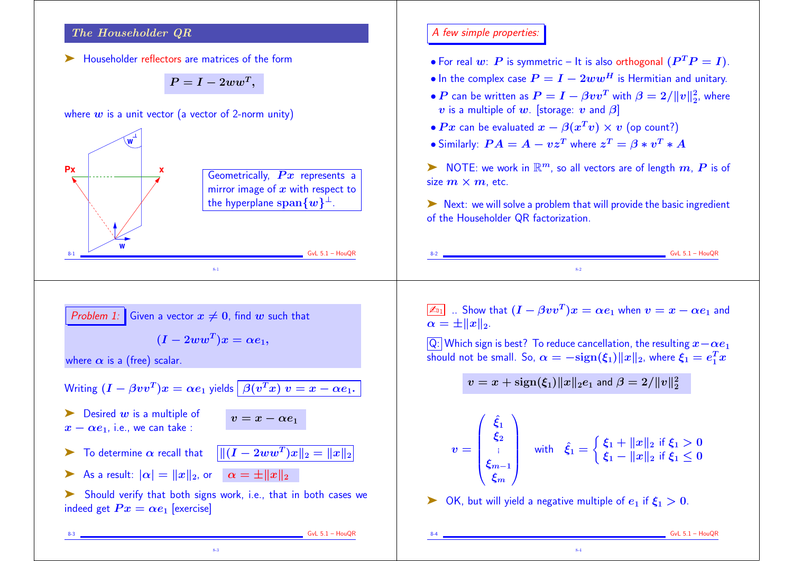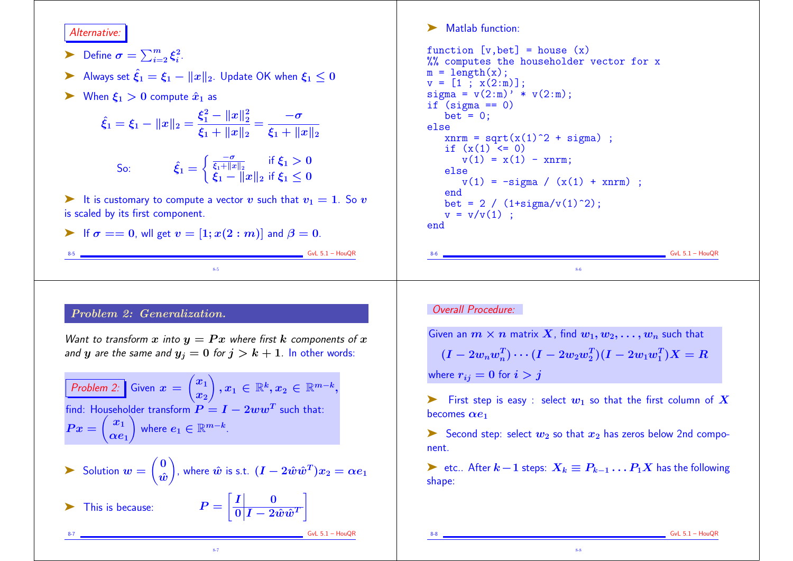#### Alternative:

- $\blacktriangleright$  Define  $\sigma = \sum_{i=2}^m \xi_i^2$ .  $\frac{2}{i}$ .
- Always set  $\hat{\xi}_1 = \xi_1 ||x||_2$ . Update OK when  $\xi_1 < 0$
- $\triangleright$  When  $\xi_1 > 0$  compute  $\hat{x}_1$  as

$$
\hat{\xi}_1 = \xi_1 - ||x||_2 = \frac{\xi_1^2 - ||x||_2^2}{\xi_1 + ||x||_2} = \frac{-\sigma}{\xi_1 + ||x||_2}
$$

So: 
$$
\hat{\xi}_1 = \begin{cases} \frac{-\sigma}{\xi_1 + ||x||_2} & \text{if } \xi_1 > 0 \\ \xi_1 - ||x||_2 & \text{if } \xi_1 \le 0 \end{cases}
$$

ightharpoontriangleright a vector v such that  $v_1 = 1$ . So v is scaled by its first component.

8-5

$$
\blacktriangleright \text{ If } \sigma == 0, \text{ will get } v = [1; x(2:m)] \text{ and } \beta = 0.
$$

 $S<sub>2</sub>$  GvL 5.1 – HouQR

 $GvL$  5.1 – HouQR

# Problem 2: Generalization.

Want to transform x into  $y = Px$  where first k components of x and y are the same and  $y_j = 0$  for  $j > k + 1$ . In other words:

Problem 2: Given 
$$
x = \begin{pmatrix} x_1 \\ x_2 \end{pmatrix}
$$
,  $x_1 \in \mathbb{R}^k$ ,  $x_2 \in \mathbb{R}^{m-k}$ , find: Householder transform  $P = I - 2ww^T$  such that:  
\n $Px = \begin{pmatrix} x_1 \\ \alpha e_1 \end{pmatrix}$  where  $e_1 \in \mathbb{R}^{m-k}$ .

$$
\sum \text{ Solution } w = \begin{pmatrix} 0 \\ \hat{w} \end{pmatrix}, \text{ where } \hat{w} \text{ is s.t. } (\boldsymbol{I} - 2\hat{w}\hat{w}^T)\boldsymbol{x}_2 = \alpha \boldsymbol{e}_1
$$

8-7

 $\overline{\mathbf{0}\left|\boldsymbol{I}-2\hat{\boldsymbol{w}}\hat{\boldsymbol{w}}^{T}\right|}$ 

This is because:

➤ Matlab function:

```
function [v, bet] = house(x)%% computes the householder vector for x
m = length(x);
v = [1; x(2:m)];signa = v(2:m)' * v(2:m);if (siem) == 0)
   bet = 0:
else
   xnrm = sqrt(x(1)^2 + sigma);
   if (x(1) < 0)v(1) = x(1) - x^{n}else
      v(1) = -signa / (x(1) + xnrm);
   end
   bet = 2 / (1+signa/v(1)^2);
   v = v/v(1) ;
end
```
## Overall Procedure:

Given an  $m \times n$  matrix X, find  $w_1, w_2, \ldots, w_n$  such that  $(I - 2 w_n w_n^T) \cdots (I - 2 w_2 w_2^T) (I - 2 w_1 w_1^T) X = R$ where  $r_{ij} = 0$  for  $i > j$ 

8-6

First step is easy : select  $w_1$  so that the first column of X becomes  $\alpha e_1$ 

Second step: select  $w_2$  so that  $x_2$  has zeros below 2nd component.

► etc.. After  $k-1$  steps:  $X_k \equiv P_{k-1} \dots P_1 X$  has the following shape:

8-8

 $6vL 5.1 - HouQR$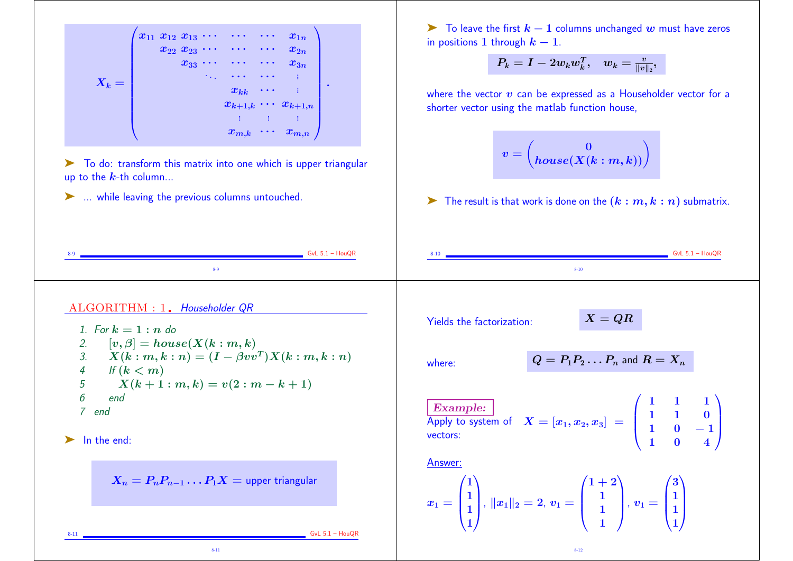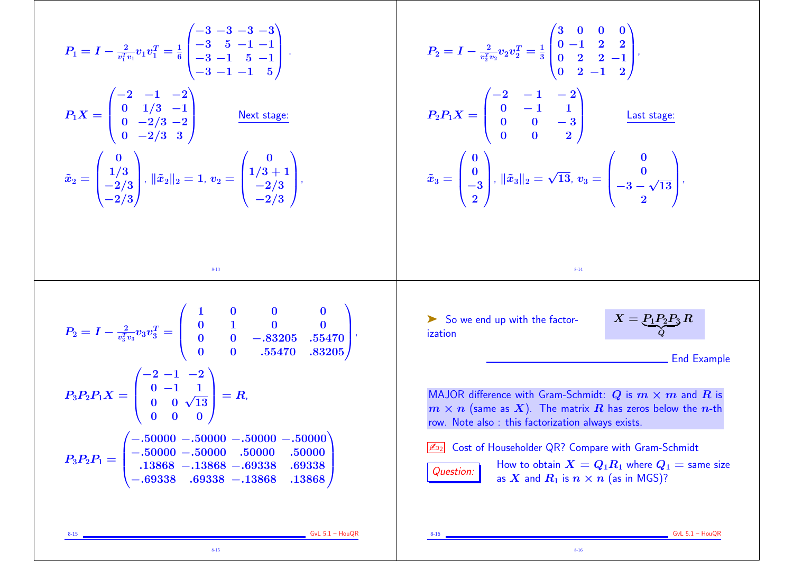| $P_1 = I - \frac{2}{v_1^Tv_1}v_1v_1^T = \frac{1}{6}\begin{pmatrix} -3 & -3 & -3 & -3 \ -3 & 5 & -1 & -1 \ -3 & -1 & 5 & -1 \ -3 & -1 & -1 & \kappa \end{pmatrix}.$<br>$P_1X = \begin{pmatrix} -2 & -1 & -2 \\ 0 & 1/3 & -1 \\ 0 & -2/3 & -2 \\ 0 & 2/3 & 2 \end{pmatrix}$ Next stage:<br>$\tilde{x}_2 = \begin{pmatrix} 0 \\ 1/3 \\ -2/3 \\ 2/3 \end{pmatrix}, \, \ \tilde{x}_2\ _2 = 1, \, v_2 = \begin{pmatrix} 0 \\ 1/3 + 1 \\ -2/3 \\ 2/3 \end{pmatrix},$ | $P_2 = I - \frac{2}{v_2^Tv_2}v_2v_2^T = \frac{1}{3}\begin{pmatrix} 3 & 0 & 0 & 0 \ 0 & -1 & 2 & 2 \ 0 & 2 & 2 & -1 \ 0 & 2 & -1 & 2 \end{pmatrix},$<br>$P_2P_1X = \begin{pmatrix} -2 & -1 & -2 \\ 0 & -1 & 1 \\ 0 & 0 & -3 \end{pmatrix}$ Last stage:<br>$\tilde{x}_3 = \begin{pmatrix} 0 \\ 0 \\ -3 \\ 0 \end{pmatrix}, \, \ \tilde{x}_3\ _2 = \sqrt{13}, \, v_3 = \begin{pmatrix} 0 \\ 0 \\ -3 - \sqrt{13} \end{pmatrix},$ |
|---------------------------------------------------------------------------------------------------------------------------------------------------------------------------------------------------------------------------------------------------------------------------------------------------------------------------------------------------------------------------------------------------------------------------------------------------------------|------------------------------------------------------------------------------------------------------------------------------------------------------------------------------------------------------------------------------------------------------------------------------------------------------------------------------------------------------------------------------------------------------------------------------|
| $8 - 13$                                                                                                                                                                                                                                                                                                                                                                                                                                                      | $8 - 14$                                                                                                                                                                                                                                                                                                                                                                                                                     |
| $P_2 = I - \frac{2}{v_3^T v_3} v_3 v_3^T = \left( \begin{array}{cccc} 1 & 0 & 0 & 0 \ 0 & 1 & 0 & 0 \ 0 & 0 & -.83205 & .55470 \ 0 & 0 & .55470 & .83205 \end{array} \right),$                                                                                                                                                                                                                                                                                | So we end up with the factor-<br>$X = P_1 P_2 P_3 R$<br>ization<br><b>End Example</b>                                                                                                                                                                                                                                                                                                                                        |
| $P_3P_2P_1X = \begin{pmatrix} 2 & 1 & 2 \ 0 & -1 & 1 \ 0 & 0 & \sqrt{13} \end{pmatrix} = R,$                                                                                                                                                                                                                                                                                                                                                                  | MAJOR difference with Gram-Schmidt: $Q$ is $m \times m$ and R is<br>$m \times n$ (same as X). The matrix R has zeros below the n-th<br>row. Note also: this factorization always exists.                                                                                                                                                                                                                                     |
| $P_3P_2P_1=\begin{pmatrix} -.50000& -.50000& -.50000& -.50000\ -.50000& -.50000& .50000& .50000\ 13868& -.13868& -.69338& .69338\ -.69338& .69338& -.13868& .13868 \end{pmatrix}$                                                                                                                                                                                                                                                                             | Cost of Householder QR? Compare with Gram-Schmidt<br>How to obtain $X = Q_1 R_1$ where $Q_1$ = same size<br>Question:<br>as X and $R_1$ is $n \times n$ (as in MGS)?                                                                                                                                                                                                                                                         |
| $GvL$ 5.1 - HouQR<br>$8 - 15$                                                                                                                                                                                                                                                                                                                                                                                                                                 | $GvL$ 5.1 - HouQR<br>$8 - 16$                                                                                                                                                                                                                                                                                                                                                                                                |

8-16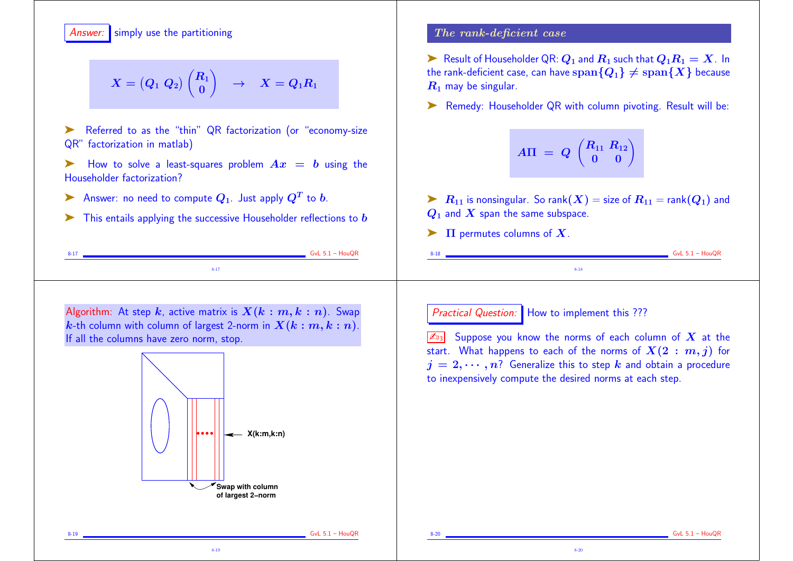## Answer: simply use the partitioning

$$
X=\begin{pmatrix}Q_1&Q_2\end{pmatrix}\begin{pmatrix}R_1\\0\end{pmatrix}\quad\to\quad X=Q_1R_1
$$

Referred to as the "thin" QR factorization (or "economy-size QR" factorization in matlab)

- $\blacktriangleright$  How to solve a least-squares problem  $Ax = b$  using the Householder factorization?
- $\blacktriangleright$  Answer: no need to compute  $Q_1$ . Just apply  $Q^T$  to  $b$ .
- $\blacktriangleright$  This entails applying the successive Householder reflections to  $b$

8-17 <u>Contract Communication of the Communication</u> Contract Communication of the GNL 5.1 – HouQR 8-17

### The rank-deficient case

Example 1 Result of Householder QR:  $Q_1$  and  $R_1$  such that  $Q_1R_1 = X$ . In the rank-deficient case, can have  $\text{span}\{Q_1\} \neq \text{span}\{X\}$  because  $R_1$  may be singular.

➤ Remedy: Householder QR with column pivoting. Result will be:

$$
A\Pi = Q \begin{pmatrix} R_{11} & R_{12} \\ 0 & 0 \end{pmatrix}
$$

 $\blacktriangleright$   $R_{11}$  is nonsingular. So rank $(X)$  = size of  $R_{11}$  = rank $(Q_1)$  and  $Q_1$  and  $X$  span the same subspace.

8-18

 $\blacktriangleright$   $\Pi$  permutes columns of  $X$ .

Algorithm: At step k, active matrix is  $X(k : m, k : n)$ . Swap k-th column with column of largest 2-norm in  $X(k : m, k : n)$ . If all the columns have zero norm, stop.



8-19

Practical Question: How to implement this ???

 $\boxed{\mathbb{Z}_{3}}$  Suppose you know the norms of each column of X at the start. What happens to each of the norms of  $X(2 : m, j)$  for  $j = 2, \dots, n$ ? Generalize this to step k and obtain a procedure to inexpensively compute the desired norms at each step.

8-20

 $\frac{1}{2}$  GvL 5.1 – HouQR